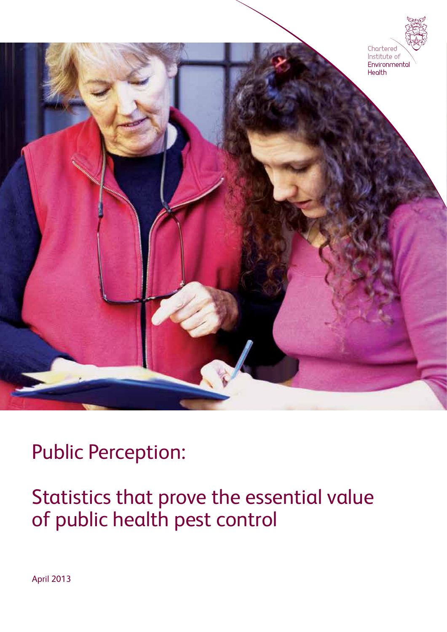

Public Perception:

Statistics that prove the essential value of public health pest control

April 2013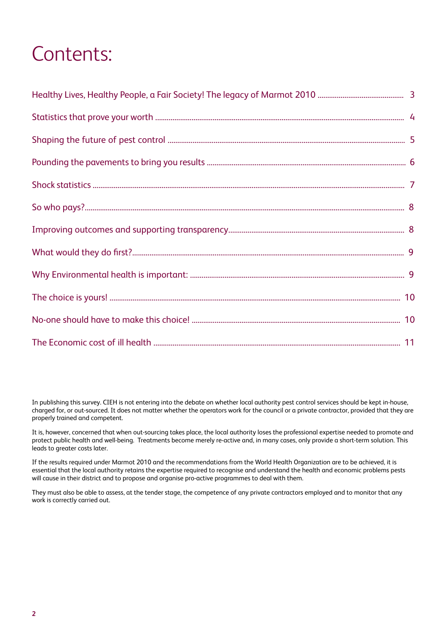# Contents:

In publishing this survey. CIEH is not entering into the debate on whether local authority pest control services should be kept in-house, charged for, or out-sourced. It does not matter whether the operators work for the council or a private contractor, provided that they are properly trained and competent.

It is, however, concerned that when out-sourcing takes place, the local authority loses the professional expertise needed to promote and protect public health and well-being. Treatments become merely re-active and, in many cases, only provide a short-term solution. This leads to greater costs later.

If the results required under Marmot 2010 and the recommendations from the World Health Organization are to be achieved, it is essential that the local authority retains the expertise required to recognise and understand the health and economic problems pests will cause in their district and to propose and organise pro-active programmes to deal with them.

They must also be able to assess, at the tender stage, the competence of any private contractors employed and to monitor that any work is correctly carried out.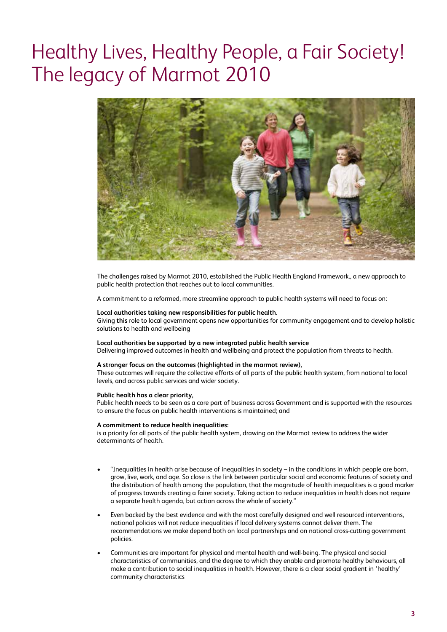# Healthy Lives, Healthy People, a Fair Society! The legacy of Marmot 2010



The challenges raised by Marmot 2010, established the Public Health England Framework., a new approach to public health protection that reaches out to local communities.

A commitment to a reformed, more streamline approach to public health systems will need to focus on:

#### **Local authorities taking new responsibilities for public health.**

Giving **this** role to local government opens new opportunities for community engagement and to develop holistic solutions to health and wellbeing

#### **Local authorities be supported by a new integrated public health service**

Delivering improved outcomes in health and wellbeing and protect the population from threats to health.

### **A stronger focus on the outcomes (highlighted in the marmot review),**

These outcomes will require the collective efforts of all parts of the public health system, from national to local levels, and across public services and wider society.

#### **Public health has a clear priority,**

Public health needs to be seen as a core part of business across Government and is supported with the resources to ensure the focus on public health interventions is maintained; and

#### **A commitment to reduce health inequalities:**

is a priority for all parts of the public health system, drawing on the Marmot review to address the wider determinants of health.

- "Inequalities in health arise because of inequalities in society in the conditions in which people are born, grow, live, work, and age. So close is the link between particular social and economic features of society and the distribution of health among the population, that the magnitude of health inequalities is a good marker of progress towards creating a fairer society. Taking action to reduce inequalities in health does not require a separate health agenda, but action across the whole of society."
- Even backed by the best evidence and with the most carefully designed and well resourced interventions, national policies will not reduce inequalities if local delivery systems cannot deliver them. The recommendations we make depend both on local partnerships and on national cross-cutting government policies.
- Communities are important for physical and mental health and well-being. The physical and social characteristics of communities, and the degree to which they enable and promote healthy behaviours, all make a contribution to social inequalities in health. However, there is a clear social gradient in 'healthy' community characteristics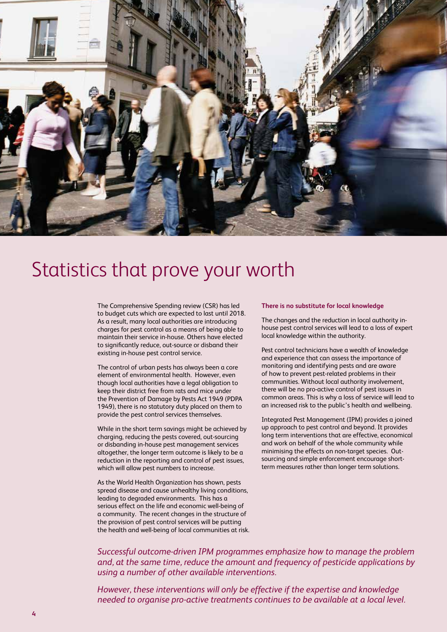

### Statistics that prove your worth

The Comprehensive Spending review (CSR) has led to budget cuts which are expected to last until 2018. As a result, many local authorities are introducing charges for pest control as a means of being able to maintain their service in-house. Others have elected to significantly reduce, out-source or disband their existing in-house pest control service.

The control of urban pests has always been a core element of environmental health. However, even though local authorities have a legal obligation to keep their district free from rats and mice under the Prevention of Damage by Pests Act 1949 (PDPA 1949), there is no statutory duty placed on them to provide the pest control services themselves.

While in the short term savings might be achieved by charging, reducing the pests covered, out-sourcing or disbanding in-house pest management services altogether, the longer term outcome is likely to be a reduction in the reporting and control of pest issues, which will allow pest numbers to increase.

As the World Health Organization has shown, pests spread disease and cause unhealthy living conditions, leading to degraded environments. This has a serious effect on the life and economic well-being of a community. The recent changes in the structure of the provision of pest control services will be putting the health and well-being of local communities at risk.

#### **There is no substitute for local knowledge**

The changes and the reduction in local authority inhouse pest control services will lead to a loss of expert local knowledge within the authority.

Pest control technicians have a wealth of knowledge and experience that can assess the importance of monitoring and identifying pests and are aware of how to prevent pest-related problems in their communities. Without local authority involvement, there will be no pro-active control of pest issues in common areas. This is why a loss of service will lead to an increased risk to the public's health and wellbeing.

Integrated Pest Management (IPM) provides a joined up approach to pest control and beyond. It provides long term interventions that are effective, economical and work on behalf of the whole community while minimising the effects on non-target species. Outsourcing and simple enforcement encourage shortterm measures rather than longer term solutions.

*Successful outcome-driven IPM programmes emphasize how to manage the problem and, at the same time, reduce the amount and frequency of pesticide applications by using a number of other available interventions.*

*However, these interventions will only be effective if the expertise and knowledge needed to organise pro-active treatments continues to be available at a local level.*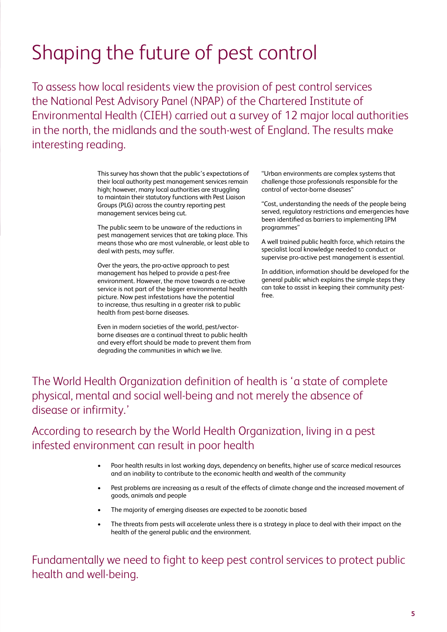# Shaping the future of pest control

To assess how local residents view the provision of pest control services the National Pest Advisory Panel (NPAP) of the Chartered Institute of Environmental Health (CIEH) carried out a survey of 12 major local authorities in the north, the midlands and the south-west of England. The results make interesting reading.

> This survey has shown that the public's expectations of their local authority pest management services remain high; however, many local authorities are struggling to maintain their statutory functions with Pest Liaison Groups (PLG) across the country reporting pest management services being cut.

> The public seem to be unaware of the reductions in pest management services that are taking place. This means those who are most vulnerable, or least able to deal with pests, may suffer.

> Over the years, the pro-active approach to pest management has helped to provide a pest-free environment. However, the move towards a re-active service is not part of the bigger environmental health picture. Now pest infestations have the potential to increase, thus resulting in a greater risk to public health from pest-borne diseases.

Even in modern societies of the world, pest/vectorborne diseases are a continual threat to public health and every effort should be made to prevent them from degrading the communities in which we live.

"Urban environments are complex systems that challenge those professionals responsible for the control of vector-borne diseases"

"Cost, understanding the needs of the people being served, regulatory restrictions and emergencies have been identified as barriers to implementing IPM programmes"

A well trained public health force, which retains the specialist local knowledge needed to conduct or supervise pro-active pest management is essential.

In addition, information should be developed for the general public which explains the simple steps they can take to assist in keeping their community pestfree.

The World Health Organization definition of health is 'a state of complete physical, mental and social well-being and not merely the absence of disease or infirmity.'

### According to research by the World Health Organization, living in a pest infested environment can result in poor health

- Poor health results in lost working days, dependency on benefits, higher use of scarce medical resources and an inability to contribute to the economic health and wealth of the community
- Pest problems are increasing as a result of the effects of climate change and the increased movement of goods, animals and people
- The majority of emerging diseases are expected to be zoonotic based
- The threats from pests will accelerate unless there is a strategy in place to deal with their impact on the health of the general public and the environment.

Fundamentally we need to fight to keep pest control services to protect public health and well-being.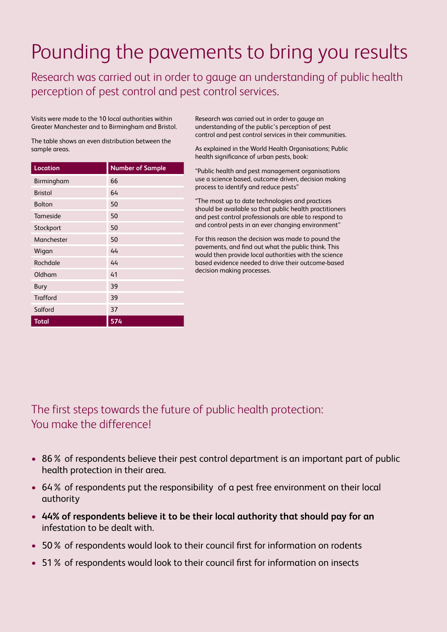# Pounding the pavements to bring you results

Research was carried out in order to gauge an understanding of public health perception of pest control and pest control services.

Visits were made to the 10 local authorities within Greater Manchester and to Birmingham and Bristol.

The table shows an even distribution between the sample areas.

| <b>Location</b> | <b>Number of Sample</b> |
|-----------------|-------------------------|
| Birmingham      | 66                      |
| <b>Bristol</b>  | 64                      |
| <b>Bolton</b>   | 50                      |
| Tameside        | 50                      |
| Stockport       | 50                      |
| Manchester      | 50                      |
| Wigan           | 44                      |
| Rochdale        | 44                      |
| Oldham          | 41                      |
| <b>Bury</b>     | 39                      |
| <b>Trafford</b> | 39                      |
| Salford         | 37                      |
| Total           | 574                     |

Research was carried out in order to gauge an understanding of the public's perception of pest control and pest control services in their communities.

As explained in the World Health Organisations; Public health significance of urban pests, book:

"Public health and pest management organisations use a science based, outcome driven, decision making process to identify and reduce pests"

"The most up to date technologies and practices should be available so that public health practitioners and pest control professionals are able to respond to and control pests in an ever changing environment"

For this reason the decision was made to pound the pavements, and find out what the public think. This would then provide local authorities with the science based evidence needed to drive their outcome-based decision making processes.

The first steps towards the future of public health protection: You make the difference!

- 86% of respondents believe their pest control department is an important part of public health protection in their area.
- 64% of respondents put the responsibility of a pest free environment on their local authority
- • **44% of respondents believe it to be their local authority that should pay for an**  infestation to be dealt with.
- 50% of respondents would look to their council first for information on rodents
- 51% of respondents would look to their council first for information on insects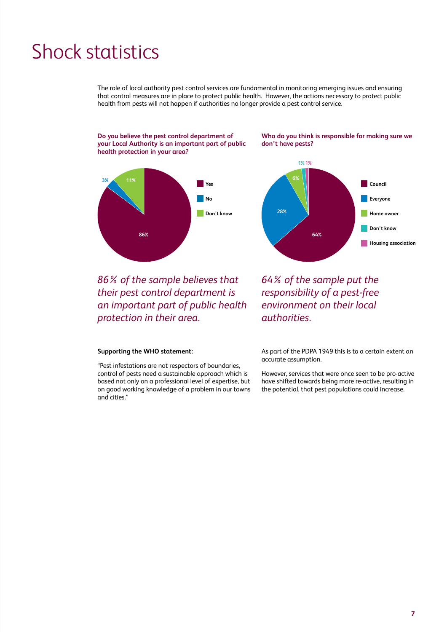## Shock statistics

The role of local authority pest control services are fundamental in monitoring emerging issues and ensuring that control measures are in place to protect public health. However, the actions necessary to protect public health from pests will not happen if authorities no longer provide a pest control service.

**Do you believe the pest control department of your Local Authority is an important part of public health protection in your area?**



*86% of the sample believes that their pest control department is an important part of public health protection in their area.*

### **Supporting the WHO statement:**

"Pest infestations are not respectors of boundaries, control of pests need a sustainable approach which is based not only on a professional level of expertise, but on good working knowledge of a problem in our towns and cities."

**Who do you think is responsible for making sure we don't have pests?**



*64% of the sample put the responsibility of a pest-free environment on their local authorities.*

As part of the PDPA 1949 this is to a certain extent an accurate assumption.

However, services that were once seen to be pro-active have shifted towards being more re-active, resulting in the potential, that pest populations could increase.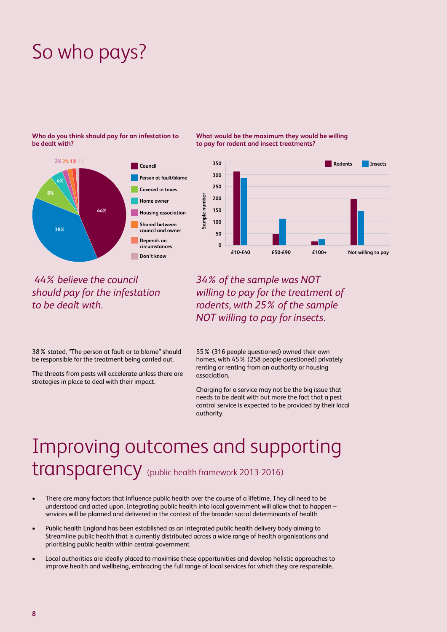# So who pays?

### **Who do you think should pay for an infestation to be dealt with?**



 *44% believe the council should pay for the infestation to be dealt with.*

38% stated, "The person at fault or to blame" should be responsible for the treatment being carried out.

The threats from pests will accelerate unless there are strategies in place to deal with their impact.

**What would be the maximum they would be willing to pay for rodent and insect treatments?**



*34% of the sample was NOT willing to pay for the treatment of rodents, with 25% of the sample NOT willing to pay for insects.*

55% (316 people questioned) owned their own homes, with 45% (258 people questioned) privately renting or renting from an authority or housing association.

Charging for a service may not be the big issue that needs to be dealt with but more the fact that a pest control service is expected to be provided by their local authority.

## Improving outcomes and supporting transparency (public health framework 2013-2016)

- There are many factors that influence public health over the course of a lifetime. They all need to be understood and acted upon. Integrating public health into local government will allow that to happen – services will be planned and delivered in the context of the broader social determinants of health
- Public health England has been established as an integrated public health delivery body aiming to Streamline public health that is currently distributed across a wide range of health organisations and prioritising public health within central government
- Local authorities are ideally placed to maximise these opportunities and develop holistic approaches to improve health and wellbeing, embracing the full range of local services for which they are responsible.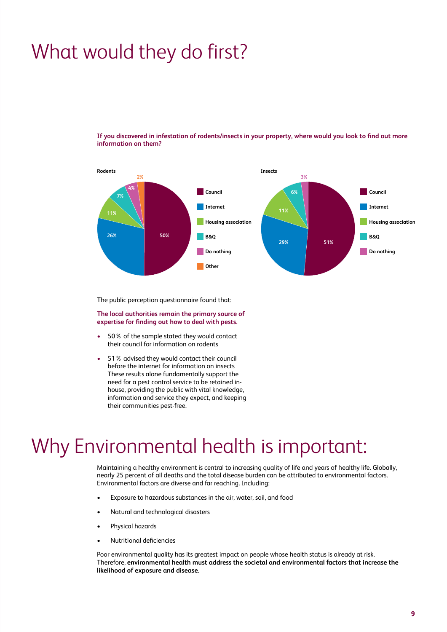# What would they do first?

**If you discovered in infestation of rodents/insects in your property, where would you look to find out more information on them?**



The public perception questionnaire found that:

**The local authorities remain the primary source of expertise for finding out how to deal with pests.** 

- 50% of the sample stated they would contact their council for information on rodents
- 51% advised they would contact their council before the internet for information on insects These results alone fundamentally support the need for a pest control service to be retained inhouse, providing the public with vital knowledge, information and service they expect, and keeping their communities pest-free.

### Why Environmental health is important:

Maintaining a healthy environment is central to increasing quality of life and years of healthy life. Globally, nearly 25 percent of all deaths and the total disease burden can be attributed to environmental factors. Environmental factors are diverse and far reaching. Including:

- Exposure to hazardous substances in the air, water, soil, and food
- Natural and technological disasters
- Physical hazards
- Nutritional deficiencies

Poor environmental quality has its greatest impact on people whose health status is already at risk. Therefore, **environmental health must address the societal and environmental factors that increase the likelihood of exposure and disease.**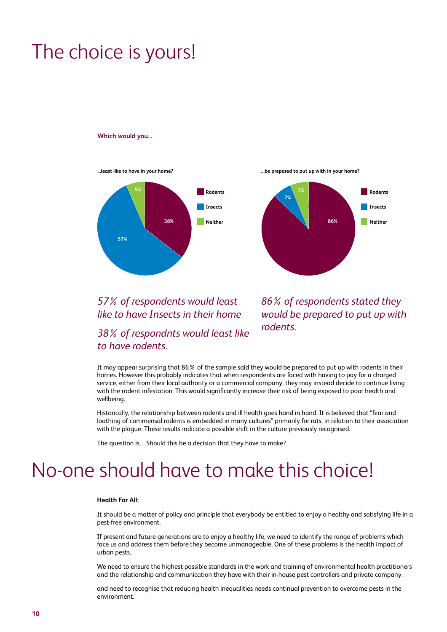# The choice is yours!

#### **Which would you...**

**...least like to have in your home? ...be prepared to put up with in your home?**





### *57% of respondents would least like to have Insects in their home*

### *38% of respondnts would least like to have rodents.*

*86% of respondents stated they would be prepared to put up with rodents.*

It may appear surprising that 86% of the sample said they would be prepared to put up with rodents in their homes. However this probably indicates that when respondents are faced with having to pay for a charged service, either from their local authority or a commercial company, they may instead decide to continue living with the rodent infestation. This would significantly increase their risk of being exposed to poor health and wellbeing.

Historically, the relationship between rodents and ill health goes hand in hand. It is believed that "fear and loathing of commensal rodents is embedded in many cultures" primarily for rats, in relation to their association with the plague. These results indicate a possible shift in the culture previously recognised.

The question is…Should this be a decision that they have to make?

## No-one should have to make this choice!

### **Health For All:**

It should be a matter of policy and principle that everybody be entitled to enjoy a healthy and satisfying life in a pest-free environment.

If present and future generations are to enjoy a healthy life, we need to identify the range of problems which face us and address them before they become unmanageable. One of these problems is the health impact of urban pests.

We need to ensure the highest possible standards in the work and training of environmental health practitioners and the relationship and communication they have with their in-house pest controllers and private company.

and need to recognise that reducing health inequalities needs continual prevention to overcome pests in the environment.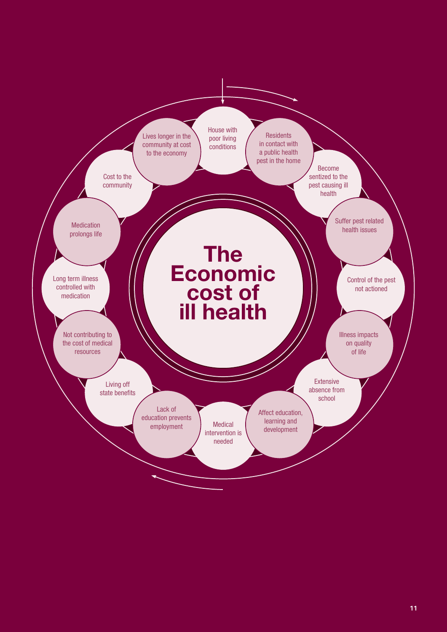